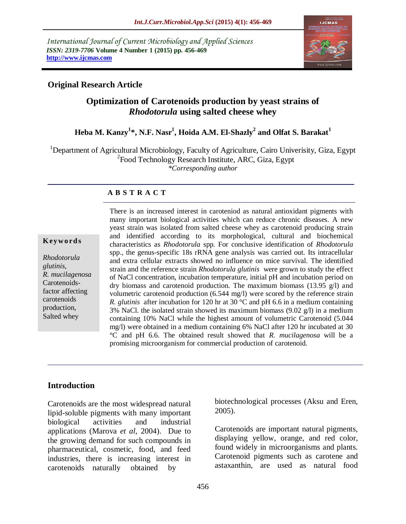*International Journal of Current Microbiology and Applied Sciences ISSN: 2319-7706* **Volume 4 Number 1 (2015) pp. 456-469 http://www.ijcmas.com** 



### **Original Research Article**

# **Optimization of Carotenoids production by yeast strains of**  *Rhodotorula* **using salted cheese whey**

# **Heba M. Kanzy<sup>1</sup> \*, N.F. Nasr<sup>1</sup> , Hoida A.M. El-Shazly<sup>2</sup> and Olfat S. Barakat<sup>1</sup>**

<sup>1</sup>Department of Agricultural Microbiology, Faculty of Agriculture, Cairo Univerisity, Giza, Egypt <sup>2</sup> Food Technology Research Institute, ARC, Giza, Egypt *\*Corresponding author* 

#### **A B S T R A C T**

#### **K ey w o rd s**

*Rhodotorula glutinis, R. mucilagenosa* Carotenoidsfactor affecting carotenoids production, Salted whey

There is an increased interest in caroteniod as natural antioxidant pigments with many important biological activities which can reduce chronic diseases. A new yeast strain was isolated from salted cheese whey as carotenoid producing strain and identified according to its morphological, cultural and biochemical characteristics as *Rhodotorula* spp*.* For conclusive identification of *Rhodotorula*  spp., the genus-specific 18s rRNA gene analysis was carried out. Its intracellular and extra cellular extracts showed no influence on mice survival. The identified strain and the reference strain *Rhodotorula glutinis* were grown to study the effect of NaCl concentration, incubation temperature, initial pH and incubation period on dry biomass and carotenoid production. The maximum biomass (13.95 g/l) and volumetric carotenoid production (6.544 mg/l) were scored by the reference strain *R. glutinis* after incubation for 120 hr at 30 °C and pH 6.6 in a medium containing 3% NaCl. the isolated strain showed its maximum biomass  $(9.02 \text{ g/l})$  in a medium containing 10% NaCl while the highest amount of volumetric Carotenoid (5.044 mg/l) were obtained in a medium containing 6% NaCl after 120 hr incubated at 30 °C and pH 6.6. The obtained result showed that *R. mucilagenosa* will be a promising microorganism for commercial production of carotenoid.

#### **Introduction**

Carotenoids are the most widespread natural lipid-soluble pigments with many important biological activities and industrial applications (Marova *et al*, 2004). Due to the growing demand for such compounds in pharmaceutical, cosmetic, food, and feed industries, there is increasing interest in carotenoids naturally obtained by

biotechnological processes (Aksu and Eren, 2005).

Carotenoids are important natural pigments, displaying yellow, orange, and red color, found widely in microorganisms and plants. Carotenoid pigments such as carotene and astaxanthin, are used as natural food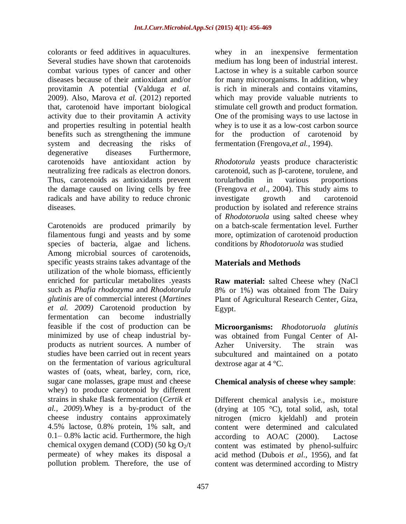colorants or feed additives in aquacultures. Several studies have shown that carotenoids combat various types of cancer and other diseases because of their antioxidant and/or provitamin A potential (Valduga *et al.* 2009). Also, Marova *et al.* (2012) reported that, carotenoid have important biological activity due to their provitamin A activity and properties resulting in potential health benefits such as strengthening the immune system and decreasing the risks of degenerative diseases Furthermore, carotenoids have antioxidant action by neutralizing free radicals as electron donors. Thus, carotenoids as antioxidants prevent the damage caused on living cells by free radicals and have ability to reduce chronic diseases.

Carotenoids are produced primarily by filamentous fungi and yeasts and by some species of bacteria, algae and lichens. Among microbial sources of carotenoids, specific yeasts strains takes advantage of the utilization of the whole biomass, efficiently enriched for particular metabolites .yeasts such as *Phafia rhodozyma* and *Rhodotorula glutinis* are of commercial interest (*Martines et al. 2009)* Carotenoid production by fermentation can become industrially feasible if the cost of production can be minimized by use of cheap industrial byproducts as nutrient sources. A number of studies have been carried out in recent years on the fermentation of various agricultural wastes of (oats, wheat, barley, corn, rice, sugar cane molasses, grape must and cheese whey) to produce carotenoid by different strains in shake flask fermentation (*Certik et al., 2009*).Whey is a by-product of the cheese industry contains approximately 4.5% lactose, 0.8% protein, 1% salt, and 0.1– 0.8% lactic acid. Furthermore, the high chemical oxygen demand (COD) (50 kg  $O_2/t$ permeate) of whey makes its disposal a pollution problem. Therefore, the use of

whey in an inexpensive fermentation medium has long been of industrial interest. Lactose in whey is a suitable carbon source for many microorganisms. In addition, whey is rich in minerals and contains vitamins, which may provide valuable nutrients to stimulate cell growth and product formation. One of the promising ways to use lactose in whey is to use it as a low-cost carbon source for the production of carotenoid by fermentation (Frengova,*et al.,* 1994).

*Rhodotorula* yeasts produce characteristic carotenoid, such as β-carotene, torulene, and torularhodin in various proportions (Frengova *et al*., 2004). This study aims to investigate growth and carotenoid production by isolated and reference strains of *Rhodotoruola* using salted cheese whey on a batch-scale fermentation level. Further more, optimization of carotenoid production conditions by *Rhodotoruola* was studied

# **Materials and Methods**

**Raw material:** salted Cheese whey (NaCl 8% or 1%) was obtained from The Dairy Plant of Agricultural Research Center, Giza, Egypt.

**Microorganisms:** *Rhodotoruola glutinis* was obtained from Fungal Center of Al-Azher University. The strain was subcultured and maintained on a potato dextrose agar at 4 °C.

## **Chemical analysis of cheese whey sample**:

Different chemical analysis i.e., moisture (drying at 105 °C), total solid, ash, total nitrogen (micro kjeldahl) and protein content were determined and calculated according to AOAC (2000). Lactose content was estimated by phenol-sulfuirc acid method (Dubois *et al*., 1956), and fat content was determined according to Mistry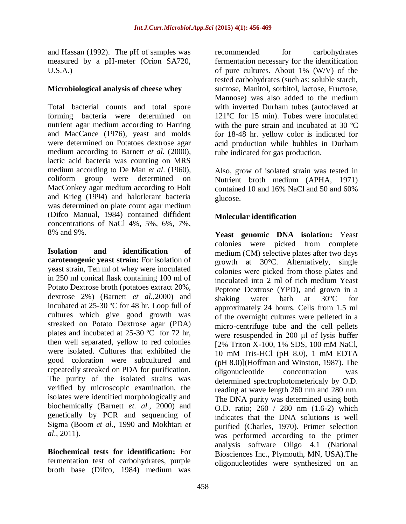and Hassan (1992). The pH of samples was measured by a pH-meter (Orion SA720,  $U.S.A.$ )

### **Microbiological analysis of cheese whey**

Total bacterial counts and total spore forming bacteria were determined on nutrient agar medium according to Harring and MacCance (1976), yeast and molds were determined on Potatoes dextrose agar medium according to Barnett *et al.* (2000), lactic acid bacteria was counting on MRS medium according to De Man *et al*. (1960), coliform group were determined on MacConkey agar medium according to Holt and Krieg (1994) and halotlerant bacteria was determined on plate count agar medium (Difco Manual, 1984) contained diffident concentrations of NaCl 4%, 5%, 6%, 7%, 8% and 9%.

**Isolation and identification of carotenogenic yeast strain:** For isolation of yeast strain, Ten ml of whey were inoculated in 250 ml conical flask containing 100 ml of Potato Dextrose broth (potatoes extract 20%, dextrose 2%) (Barnett *et al.,*2000) and incubated at 25-30 ºC for 48 hr. Loop full of cultures which give good growth was streaked on Potato Dextrose agar (PDA) plates and incubated at 25-30 ºC for 72 hr, then well separated, yellow to red colonies were isolated. Cultures that exhibited the good coloration were subcultured and repeatedly streaked on PDA for purification. The purity of the isolated strains was verified by microscopic examination, the isolates were identified morphologically and biochemically (Barnett *et. al.,* 2000) and genetically by PCR and sequencing of Sigma (Boom *et al*., 1990 and Mokhtari *et al*., 2011).

**Biochemical tests for identification:** For fermentation test of carbohydrates, purple broth base (Difco, 1984) medium was

recommended for carbohydrates fermentation necessary for the identification of pure cultures. About 1% (W/V) of the tested carbohydrates (such as; soluble starch, sucrose, Manitol, sorbitol, lactose, Fructose, Mannose) was also added to the medium with inverted Durham tubes (autoclaved at 121ºC for 15 min). Tubes were inoculated with the pure strain and incubated at 30 ºC for 18-48 hr. yellow color is indicated for acid production while bubbles in Durham tube indicated for gas production.

Also, grow of isolated strain was tested in Nutrient broth medium (APHA, 1971) contained 10 and 16% NaCl and 50 and 60% glucose.

## **Molecular identification**

**Yeast genomic DNA isolation:** Yeast colonies were picked from complete medium (CM) selective plates after two days growth at 30°C. Alternatively, single colonies were picked from those plates and inoculated into 2 ml of rich medium Yeast Peptone Dextrose (YPD), and grown in a shaking water bath at 30°C for approximately 24 hours. Cells from 1.5 ml of the overnight cultures were pelleted in a micro-centrifuge tube and the cell pellets were resuspended in 200 μl of lysis buffer [2% Triton X-100, 1% SDS, 100 mM NaCl, 10 mM Tris-HCl (pH 8.0), 1 mM EDTA (pH 8.0)](Hoffman and Winston, 1987). The oligonucleotide concentration was determined spectrophotometericaly by O.D. reading at wave length 260 nm and 280 nm. The DNA purity was determined using both O.D. ratio; 260 / 280 nm (1.6-2) which indicates that the DNA solutions is well purified (Charles, 1970). Primer selection was performed according to the primer analysis software Oligo 4.1 (National Biosciences Inc., Plymouth, MN, USA).The oligonucleotides were synthesized on an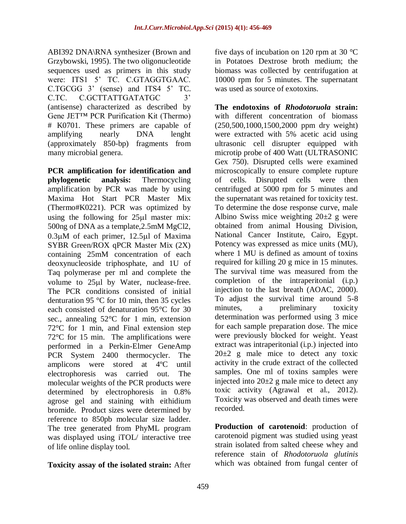ABI392 DNA\RNA synthesizer (Brown and Grzybowski, 1995). The two oligonucleotide sequences used as primers in this study were: ITS1 5' TC. C.GTAGGTGAAC. C.TGCGG 3' (sense) and ITS4 5' TC. C.TC. C.GCTTATTGATATGC 3' (antisense) characterized as described by Gene JET™ PCR Purification Kit (Thermo) # K0701. These primers are capable of amplifying nearly DNA lenght (approximately 850-bp) fragments from many microbial genera.

**PCR amplification for identification and phylogenetic analysis:** Thermocycling amplification by PCR was made by using Maxima Hot Start PCR Master Mix (Thermo#K0221). PCR was optimized by using the following for  $25\mu l$  master mix: 500ng of DNA as a template,2.5mM MgCl2,  $0.3\mu$ M of each primer, 12.5 $\mu$ l of Maxima SYBR Green/ROX qPCR Master Mix (2X) containing 25mM concentration of each deoxynucleoside triphosphate, and 1U of Taq polymerase per ml and complete the volume to  $25\mu l$  by Water, nuclease-free. The PCR conditions consisted of initial denturation 95 °C for 10 min, then 35 cycles each consisted of denaturation 95°C for 30 sec., annealing 52°C for 1 min, extension 72°C for 1 min, and Final extension step 72°C for 15 min. The amplifications were performed in a Perkin-Elmer GeneAmp PCR System 2400 thermocycler. The amplicons were stored at 4ºC until electrophoresis was carried out. The molecular weights of the PCR products were determined by electrophoresis in 0.8% agrose gel and staining with eithidium bromide. Product sizes were determined by reference to 850pb molecular size ladder. The tree generated from PhyML program was displayed using iTOL/ interactive tree of life online display tool.

### **Toxicity assay of the isolated strain:** After

five days of incubation on 120 rpm at 30 °C in Potatoes Dextrose broth medium; the biomass was collected by centrifugation at 10000 rpm for 5 minutes. The supernatant was used as source of exotoxins.

**The endotoxins of** *Rhodotoruola* **strain:**  with different concentration of biomass (250,500,1000,1500,2000 ppm dry weight) were extracted with 5% acetic acid using ultrasonic cell disrupter equipped with microtip probe of 400 Watt (ULTRASONIC Gex 750). Disrupted cells were examined microscopically to ensure complete rupture of cells. Disrupted cells were then centrifuged at 5000 rpm for 5 minutes and the supernatant was retained for toxicity test. To determine the dose response curve, male Albino Swiss mice weighting  $20\pm 2$  g were obtained from animal Housing Division, National Cancer Institute, Cairo, Egypt. Potency was expressed as mice units (MU), where 1 MU is defined as amount of toxins required for killing 20 g mice in 15 minutes. The survival time was measured from the completion of the intraperitonial (i.p.) injection to the last breath (AOAC, 2000). To adjust the survival time around 5-8 minutes, a preliminary toxicity determination was performed using 3 mice for each sample preparation dose. The mice were previously blocked for weight. Yeast extract was intraperitonial (i.p.) injected into  $20\pm2$  g male mice to detect any toxic activity in the crude extract of the collected samples. One ml of toxins samples were injected into  $20\pm 2$  g male mice to detect any toxic activity (Agrawal et al., 2012). Toxicity was observed and death times were recorded.

**Production of carotenoid**: production of carotenoid pigment was studied using yeast strain isolated from salted cheese whey and reference stain of *Rhodotoruola glutinis* which was obtained from fungal center of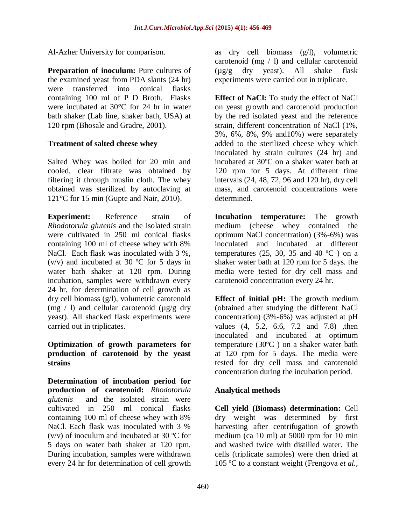Al-Azher University for comparison.

**Preparation of inoculum:** Pure cultures of the examined yeast from PDA slants (24 hr) were transferred into conical flasks containing 100 ml of P D Broth. Flasks were incubated at 30°C for 24 hr in water bath shaker (Lab line, shaker bath, USA) at 120 rpm (Bhosale and Gradre, 2001).

### **Treatment of salted cheese whey**

Salted Whey was boiled for 20 min and cooled, clear filtrate was obtained by filtering it through muslin cloth. The whey obtained was sterilized by autoclaving at 121°C for 15 min (Gupte and Nair, 2010).

**Experiment:** Reference strain of *Rhodotorula glutenis* and the isolated strain were cultivated in 250 ml conical flasks containing 100 ml of cheese whey with 8% NaCl. Each flask was inoculated with 3 %, (v/v) and incubated at 30 ºC for 5 days in water bath shaker at 120 rpm. During incubation, samples were withdrawn every 24 hr, for determination of cell growth as dry cell biomass (g/l), volumetric carotenoid (mg  $/$  l) and cellular carotenoid ( $\mu$ g/g dry yeast). All shacked flask experiments were carried out in triplicates.

#### **Optimization of growth parameters for production of carotenoid by the yeast strains**

**Determination of incubation period for production of carotenoid:** *Rhodotorula glutenis* and the isolated strain were cultivated in 250 ml conical flasks containing 100 ml of cheese whey with 8% NaCl. Each flask was inoculated with 3 %  $(v/v)$  of inoculum and incubated at 30 °C for 5 days on water bath shaker at 120 rpm. During incubation, samples were withdrawn every 24 hr for determination of cell growth as dry cell biomass (g/l), volumetric carotenoid (mg / l) and cellular carotenoid (µg/g dry yeast). All shake flask experiments were carried out in triplicate.

**Effect of NaCl:** To study the effect of NaCl on yeast growth and carotenoid production by the red isolated yeast and the reference strain, different concentration of NaCl (1%, 3%, 6%, 8%, 9% and10%) were separately added to the sterilized cheese whey which inoculated by strain cultures (24 hr) and incubated at 30ºC on a shaker water bath at 120 rpm for 5 days. At different time intervals (24, 48, 72, 96 and 120 hr), dry cell mass, and carotenoid concentrations were determined.

**Incubation temperature:** The growth medium (cheese whey contained the optimum NaCl concentration) (3%-6%) was inoculated and incubated at different temperatures (25, 30, 35 and 40  $^{\circ}$ C) on a shaker water bath at 120 rpm for 5 days. the media were tested for dry cell mass and carotenoid concentration every 24 hr.

**Effect of initial pH:** The growth medium (obtained after studying the different NaCl concentration) (3%-6%) was adjusted at pH values (4, 5.2, 6.6, 7.2 and 7.8) ,then inoculated and incubated at optimum temperature (30ºC ) on a shaker water bath at 120 rpm for 5 days. The media were tested for dry cell mass and carotenoid concentration during the incubation period.

### **Analytical methods**

**Cell yield (Biomass) determination:** Cell dry weight was determined by first harvesting after centrifugation of growth medium (ca 10 ml) at 5000 rpm for 10 min and washed twice with distilled water. The cells (triplicate samples) were then dried at 105 ºC to a constant weight (Frengova *et al.,*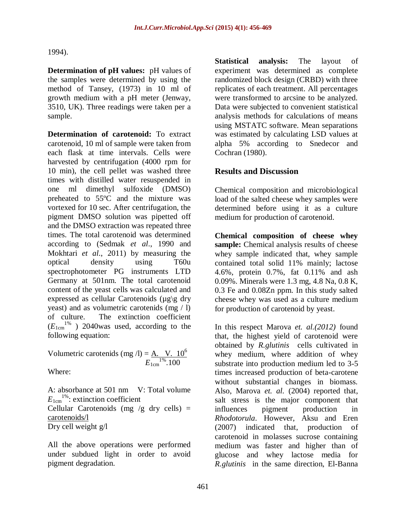1994).

**Determination of pH values:** pH values of the samples were determined by using the method of Tansey, (1973) in 10 ml of growth medium with a pH meter (Jenway, 3510, UK). Three readings were taken per a sample.

**Determination of carotenoid:** To extract carotenoid, 10 ml of sample were taken from each flask at time intervals. Cells were harvested by centrifugation (4000 rpm for 10 min), the cell pellet was washed three times with distilled water resuspended in one ml dimethyl sulfoxide (DMSO) preheated to 55ºC and the mixture was vortexed for 10 sec. After centrifugation, the pigment DMSO solution was pipetted off and the DMSO extraction was repeated three times. The total carotenoid was determined according to (Sedmak *et al*., 1990 and Mokhtari *et al*., 2011) by measuring the optical density using T60u spectrophotometer PG instruments LTD Germany at 501nm. The total carotenoid content of the yeast cells was calculated and expressed as cellular Carotenoids ( $\mu$ g $\gtrsim$  dry yeast) and as volumetric carotenids (mg / l) of culture. The extinction coefficient  $(E_{1cm}^{1\%})$  2040was used, according to the following equation:

Volumetric carotenids (mg /l) =  $\underline{A}$ . V. 10<sup>6</sup>  $E_{1cm}^{1\%}.100$ 

Where:

A: absorbance at 501 nm V: Total volume  $E_{1 \text{cm}}^{1\%}$ : extinction coefficient Cellular Carotenoids (mg /g dry cells)  $=$ carotenoids/l Dry cell weight g/l

All the above operations were performed under subdued light in order to avoid pigment degradation.

**Statistical analysis:** The layout of experiment was determined as complete randomized block design (CRBD) with three replicates of each treatment. All percentages were transformed to arcsine to be analyzed. Data were subjected to convenient statistical analysis methods for calculations of means using MSTATC software. Mean separations was estimated by calculating LSD values at alpha 5% according to Snedecor and Cochran (1980).

### **Results and Discussion**

Chemical composition and microbiological load of the salted cheese whey samples were determined before using it as a culture medium for production of carotenoid.

**Chemical composition of cheese whey sample:** Chemical analysis results of cheese whey sample indicated that, whey sample contained total solid 11% mainly; lactose 4.6%, protein 0.7%, fat 0.11% and ash 0.09%. Minerals were 1.3 mg, 4.8 Na, 0.8 K, 0.3 Fe and 0.08Zn ppm. In this study salted cheese whey was used as a culture medium for production of carotenoid by yeast.

In this respect Marova *et. al.(2012)* found that, the highest yield of carotenoid were obtained by *R.glutinis* cells cultivated in whey medium, where addition of whey substrate into production medium led to 3-5 times increased production of beta-carotene without substantial changes in biomass. Also, Marova *et. al.* (2004) reported that, salt stress is the major component that influences pigment production in *Rhodotorula*. However, Aksu and Eren (2007) indicated that, production of carotenoid in molasses sucrose containing medium was faster and higher than of glucose and whey lactose media for *R.glutinis* in the same direction, El-Banna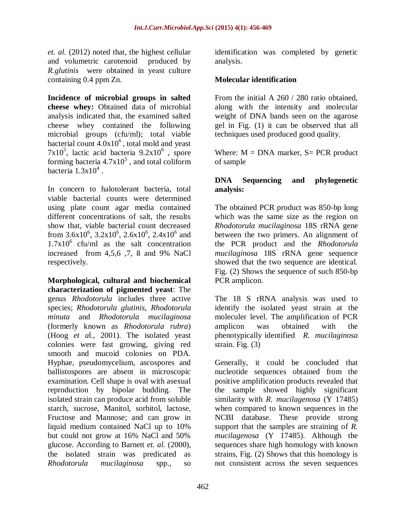*et. al.* (2012) noted that, the highest cellular and volumetric carotenoid produced by *R.glutinis* were obtained in yeast culture containing 0.4 ppm Zn.

**Incidence of microbial groups in salted cheese whey:** Obtained data of microbial analysis indicated that, the examined salted cheese whey contained the following microbial groups (cfu/ml); total viable bacterial count  $4.0x10^6$ , total mold and yeast  $7x10^5$ , lactic acid bacteria  $9.2x10^6$ , spore forming bacteria  $4.7 \times 10^5$ , and total coliform bacteria  $1.3x10^4$ .

In concern to halotolerant bacteria, total viable bacterial counts were determined using plate count agar media contained different concentrations of salt, the results show that, viable bacterial count decreased from  $3.6x10^6$ ,  $3.2x10^6$ ,  $2.6x10^6$ ,  $2.4x10^6$  and  $1.7x10^6$  cfu/ml as the salt concentration increased from 4,5,6 ,7, 8 and 9% NaCl respectively.

**Morphological, cultural and biochemical characterization of pigmented yeast**: The genus *Rhodotorula* includes three active species; *Rhodotorula glutinis*, *Rhodotorula minuta* and *Rhodotorula mucilaginosa*  (formerly known as *Rhodotorula rubra*) (Hoog *et a*l., 2001). The isolated yeast colonies were fast growing, giving red smooth and mucoid colonies on PDA. Hyphae, pseudomycelium, ascospores and ballistospores are absent in microscopic examination. Cell shape is oval with asexual reproduction by bipolar budding. The isolated strain can produce acid from soluble starch, sucrose, Manitol, sorbitol, lactose, Fructose and Mannose; and can grow in liquid medium contained NaCl up to 10% but could not grow at 16% NaCl and 50% glucose. According to Barnett *et. al.* (2000), the isolated strain was predicated as *Rhodotorula mucilaginosa* spp., so

identification was completed by genetic analysis.

### **Molecular identification**

From the initial A 260 / 280 ratio obtained. along with the intensity and molecular weight of DNA bands seen on the agarose gel in Fig. (1) it can be observed that all techniques used produced good quality.

Where:  $M = DNA$  marker,  $S = PCR$  product of sample

### **DNA Sequencing and phylogenetic analysis:**

The obtained PCR product was 850-bp long which was the same size as the region on *Rhodotorula mucilaginosa* 18S rRNA gene between the two primers. An alignment of the PCR product and the *Rhodotorula mucilaginosa* 18S rRNA gene sequence showed that the two sequence are identical. Fig. (2) Shows the sequence of such 850-bp PCR amplicon.

The 18 S rRNA analysis was used to identify the isolated yeast strain at the moleculer level. The amplification of PCR amplicon was obtained with the phenotypically identified *R. mucilaginosa* strain. Fig. (3)

Generally, it could be concluded that nucleotide sequences obtained from the positive amplification products revealed that the sample showed highly significant similarity with *R. mucilagenosa* (Y 17485) when compared to known sequences in the NCBI database. These provide strong support that the samples are straining of *R. mucilagenosa* (Y 17485). Although the sequences share high homology with known strains, Fig. (2) Shows that this homology is not consistent across the seven sequences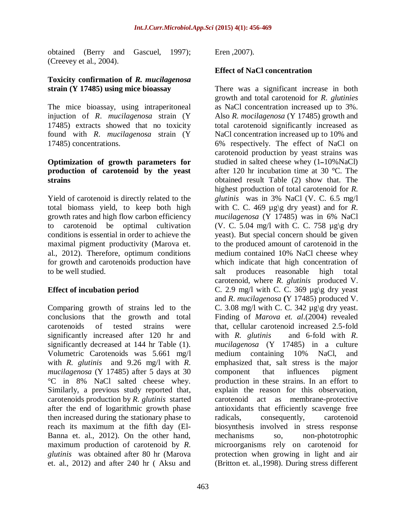obtained (Berry and Gascuel, 1997); (Creevey et al., 2004).

#### **Toxicity confirmation of** *R. mucilagenosa* **strain (Y 17485) using mice bioassay**

The mice bioassay, using intraperitoneal injuction of *R*. *mucilagenosa* strain (Y 17485) extracts showed that no toxicity found with *R*. *mucilagenosa* strain (Y 17485) concentrations.

### **Optimization of growth parameters for production of carotenoid by the yeast strains**

Yield of carotenoid is directly related to the total biomass yield, to keep both high growth rates and high flow carbon efficiency to carotenoid be optimal cultivation conditions is essential in order to achieve the maximal pigment productivity (Marova et. al., 2012). Therefore, optimum conditions for growth and carotenoids production have to be well studied.

### **Effect of incubation period**

Comparing growth of strains led to the conclusions that the growth and total carotenoids of tested strains were significantly increased after 120 hr and significantly decreased at 144 hr Table (1). Volumetric Carotenoids was 5.661 mg/l with *R. glutinis* and 9.26 mg/l with *R. mucilagenosa* (Y 17485) after 5 days at 30 °C in 8% NaCl salted cheese whey. Similarly, a previous study reported that, carotenoids production by *R. glutinis* started after the end of logarithmic growth phase then increased during the stationary phase to reach its maximum at the fifth day (El-Banna et. al., 2012). On the other hand, maximum production of carotenoid by *R. glutinis* was obtained after 80 hr (Marova et. al., 2012) and after 240 hr ( Aksu and

Eren ,2007).

### **Effect of NaCl concentration**

There was a significant increase in both growth and total carotenoid for *R. glutinies* as NaCl concentration increased up to 3%. Also *R. mocilagenosa* (Y 17485) growth and total carotenoid significantly increased as NaCl concentration increased up to 10% and 6% respectively. The effect of NaCl on carotenoid production by yeast strains was studied in salted cheese whey (1ــ10%NaCl) after 120 hr incubation time at 30 °C. The obtained result Table (2) show that. The highest production of total carotenoid for *R. glutinis* was in 3% NaCl (V. C. 6.5 mg/l with C. C. 469  $\mu$ g\g dry yeast) and for *R*. *mucilagenosa* (Y 17485) was in 6% NaCl (V. C. 5.04 mg/l with C. C. 758  $\mu$ g\g dry yeast). But special concern should be given to the produced amount of carotenoid in the medium contained 10% NaCl cheese whey which indicate that high concentration of salt produces reasonable high total carotenoid, where *R. glutinis* produced V. C. 2.9 mg/l with C. C. 369  $\mu$ g\g dry yeast and *R*. *mucilagenosa* **(**Y 17485) produced V. C. 3.08 mg/l with C. C. 342  $\mu$ g\g dry yeast. Finding of *Marova et. al*.(2004) revealed that, cellular carotenoid increased 2.5-fold with *R. glutinis* and 6-fold with *R*. *mucilagenosa* (Y 17485) in a culture medium containing 10% NaCl, and emphasized that, salt stress is the major component that influences pigment production in these strains. In an effort to explain the reason for this observation, carotenoid act as membrane-protective antioxidants that efficiently scavenge free radicals, consequently, carotenoid biosynthesis involved in stress response mechanisms so, non-phototrophic microorganisms rely on carotenoid for protection when growing in light and air (Britton et. al.,1998). During stress different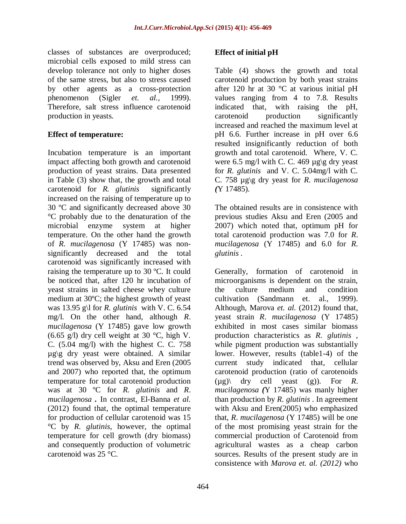classes of substances are overproduced; microbial cells exposed to mild stress can develop tolerance not only to higher doses of the same stress, but also to stress caused by other agents as a cross-protection phenomenon (Sigler *et. al.,* 1999). Therefore, salt stress influence carotenoid production in yeasts.

### **Effect of temperature:**

Incubation temperature is an important impact affecting both growth and carotenoid production of yeast strains. Data presented in Table (3) show that, the growth and total carotenoid for *R. glutinis* significantly increased on the raising of temperature up to 30 ºC and significantly decreased above 30 °C probably due to the denaturation of the microbial enzyme system at higher temperature. On the other hand the growth of *R. mucilagenosa* (Y 17485) was nonsignificantly decreased and the total carotenoid was significantly increased with raising the temperature up to 30 ºC. It could be noticed that, after 120 hr incubation of yeast strains in salted cheese whey culture medium at 30ºC; the highest growth of yeast was 13.95 g\l for *R. glutinis* with V. C. 6.54 mg/l. On the other hand, although *R*. *mucilagenosa* (Y 17485) gave low growth  $(6.65 \text{ g/l})$  dry cell weight at 30 °C, high V. C. (5.04 mg/l) with the highest C. C. 758  $\mu$ g\g dry yeast were obtained. A similar trend was observed by, Aksu and Eren (2005 and 2007) who reported that, the optimum temperature for total carotenoid production was at 30 ºC for *R. glutinis* and *R*. *mucilagenosa .* In contrast, El-Banna *et al.* (2012) found that, the optimal temperature for production of cellular carotenoid was 15 °C by *R. glutinis*, however, the optimal temperature for cell growth (dry biomass) and consequently production of volumetric carotenoid was 25 °C.

# **Effect of initial pH**

Table (4) shows the growth and total carotenoid production by both yeast strains after 120 hr at 30  $\degree$ C at various initial pH values ranging from 4 to 7.8. Results indicated that, with raising the pH, carotenoid production significantly increased and reached the maximum level at pH 6.6. Further increase in pH over 6.6 resulted insignificantly reduction of both growth and total carotenoid. Where, V. C. were 6.5 mg/l with C. C. 469  $\mu$ g\g dry yeast for *R. glutinis* and V. C. 5.04mg/l with C. C. 758 µg\g dry yeast for *R*. *mucilagenosa (*Y 17485).

The obtained results are in consistence with previous studies Aksu and Eren (2005 and 2007) which noted that, optimum pH for total carotenoid production was 7.0 for *R*. *mucilagenosa* (Y 17485) and 6.0 for *R. glutinis .*

Generally, formation of carotenoid in microorganisms is dependent on the strain, the culture medium and condition cultivation (Sandmann et. al., 1999). Although, Marova *et. al.* (2012) found that, yeast strain *R*. *mucilagenosa* (Y 17485) exhibited in most cases similar biomass production characteristics as *R. glutinis* , while pigment production was substantially lower. However, results (table1-4) of the current study indicated that, cellular carotenoid production (ratio of carotenoids  $(\mu g)$  dry cell yeast  $(g)$ ). For *R*. *mucilagenosa (*Y 17485) was manly higher than production by *R. glutinis* . In agreement with Aksu and Eren(2005) who emphasized that, *R*. *mucilagenosa* (Y 17485) will be one of the most promising yeast strain for the commercial production of Carotenoid from agricultural wastes as a cheap carbon sources. Results of the present study are in consistence with *Marova et. al. (2012)* who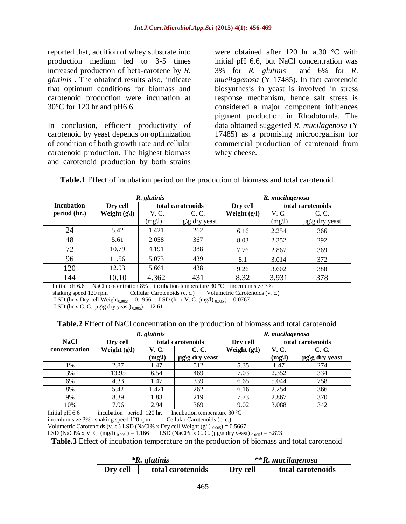reported that, addition of whey substrate into production medium led to 3-5 times increased production of beta-carotene by *R. glutinis* . The obtained results also, indicate that optimum conditions for biomass and carotenoid production were incubation at 30°C for 120 hr and pH6.6.

In conclusion, efficient productivity of carotenoid by yeast depends on optimization of condition of both growth rate and cellular carotenoid production. The highest biomass and carotenoid production by both strains

were obtained after 120 hr at30 °C with initial pH 6.6, but NaCl concentration was 3% for *R. glutinis* and 6% for *R*. *mucilagenosa* (Y 17485). In fact carotenoid biosynthesis in yeast is involved in stress response mechanism, hence salt stress is considered a major component influences pigment production in Rhodotorula. The data obtained suggested *R*. *mucilagenosa* (Y 17485) as a promising microorganism for commercial production of carotenoid from whey cheese.

|                   | R. glutinis    |                   |                     |                | R. mucilagenosa |                     |  |
|-------------------|----------------|-------------------|---------------------|----------------|-----------------|---------------------|--|
| <b>Incubation</b> | Dry cell       | total carotenoids |                     | Dry cell       |                 | total carotenoids   |  |
| period (hr.)      | Weight $(g I)$ | V. C.             | C. C.               | Weight $(g l)$ | V. C.           | C. C.               |  |
|                   |                | (mg)              | $\mu$ g\g dry yeast |                | (mg)            | $\mu$ g\g_dry yeast |  |
| 24                | 5.42           | 1.421             | 262                 | 6.16           | 2.254           | 366                 |  |
| 48                | 5.61           | 2.058             | 367                 | 8.03           | 2.352           | 292                 |  |
| 72                | 10.79          | 4.191             | 388                 | 7.76           | 2.867           | 369                 |  |
| 96                | 11.56          | 5.073             | 439                 | 8.1            | 3.014           | 372                 |  |
| 120               | 12.93          | 5.661             | 438                 | 9.26           | 3.602           | 388                 |  |
| 144               | 10.10          | 4.362             | 431                 | 8.32           | 3.931           | 378                 |  |

Initial pH 6.6 NaCl concentration 8% incubation temperature 30 ºC inoculum size 3% shaking speed 120 rpm Cellular Carotenoids (c. c.) Volumetric Carotenoids (v. c.) LSD (hr x Dry cell Weight<sub>0.005)</sub> = 0.1956 LSD (hr x V. C. (mg/l) <sub>0.005</sub>) = 0.0767 LSD (hr x C. C.  $\mu$ g\g dry yeast)  $_{0.005}$ ) = 12.61

|  | <b>Table.2</b> Effect of NaCl concentration on the production of biomass and total carotenoid |
|--|-----------------------------------------------------------------------------------------------|
|--|-----------------------------------------------------------------------------------------------|

|                      |                | R. glutinis       |                     | R. mucilagenosa |                   |                     |
|----------------------|----------------|-------------------|---------------------|-----------------|-------------------|---------------------|
| <b>NaCl</b>          | Dry cell       | total carotenoids |                     | Dry cell        | total carotenoids |                     |
| <b>concentration</b> | Weight $(g l)$ | V. C.             | C. C.               | Weight $(g l)$  | V. C.             | C. C.               |
|                      |                | (mg)              | $\mu$ g\g dry yeast |                 | (mg)              | $\mu$ g\g dry yeast |
| 1%                   | 2.87           | 1.47              | 512                 | 5.35            | 1.47              | 274                 |
| 3%                   | 13.95          | 6.54              | 469                 | 7.03            | 2.352             | 334                 |
| 6%                   | 4.33           | 1.47              | 339                 | 6.65            | 5.044             | 758                 |
| 8%                   | 5.42           | 1.421             | 262                 | 6.16            | 2.254             | 366                 |
| 9%                   | 8.39           | 1.83              | 219                 | 7.73            | 2.867             | 370                 |
| 10%                  | 7.96           | 2.94              | 369                 | 9.02            | 3.088             | 342                 |

Initial pH 6.6 incubation period 120 hr. Incubation temperature 30 ºC

inoculum size 3% shaking speed 120 rpm Cellular Carotenoids (c. c.)

Volumetric Carotenoids (v. c.) LSD (NaCl% x Dry cell Weight  $(g/1)_{0.005}$ ) = 0.5667

LSD (NaCl% x V. C. (mg/l)  $_{0.005}$ ) = 1.166 LSD (NaCl% x C. C. (µg\g dry yeast)  $_{0.005}$ ) = 5.873

**Table.3** Effect of incubation temperature on the production of biomass and total carotenoid

|                               | $*R$ . glutinis | $**R$ . mucilagenosa |                   |  |  |
|-------------------------------|-----------------|----------------------|-------------------|--|--|
| Drv cell<br>total carotenoids |                 | Drv cell             | total carotenoids |  |  |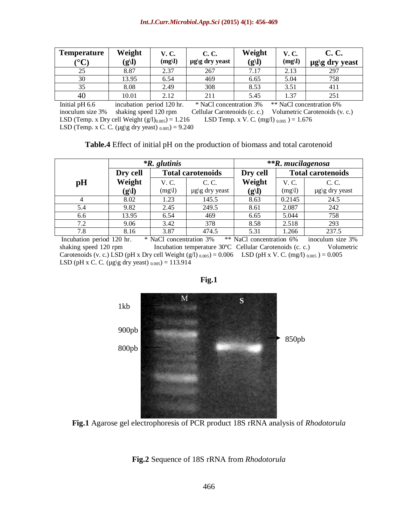| <b>Temperature</b><br>$\mathcal{C}^{\infty}$ | Weight<br>(g l) | <b>V.C.</b><br>(mg) | C. C.<br>$\mu$ g\g dry yeast | Weight<br>(g l) | <b>V.C.</b><br>(mg) | C. C.<br>$\mu$ g\g dry yeast |
|----------------------------------------------|-----------------|---------------------|------------------------------|-----------------|---------------------|------------------------------|
| 25                                           | 8.87            | 2.37                | 267                          | 7.17            | 2.13                | 297                          |
| 30                                           | 13.95           | 6.54                | 469                          | 6.65            | 5.04                | 758                          |
| 35                                           | 8.08            | 2.49                | 308                          | 8.53            | 3.51                | 411                          |
| 40                                           | 10.01           | 2.12                | 211                          | 5.45            | 1.37                | 251                          |

Initial pH 6.6 incubation period 120 hr. \* NaCl concentration 3% \*\* NaCl concentration 6% inoculum size 3% shaking speed 120 rpm Cellular Carotenoids (c. c.) Volumetric Carotenoids (v. c.) LSD (Temp. x Dry cell Weight  $(g/1)_{0.005}$ ) = 1.216 LSD Temp. x V. C. (mg/l)  $_{0.005}$ ) = 1.676 LSD (Temp. x C. C. ( $\mu$ g\g dry yeast)  $_{0.005}$ ) = 9.240

|     |          | $*R$ . glutinis |                          | **R. mucilagenosa |        |                          |
|-----|----------|-----------------|--------------------------|-------------------|--------|--------------------------|
|     | Dry cell |                 | <b>Total carotenoids</b> | Dry cell          |        | <b>Total carotenoids</b> |
| pH  | Weight   | V. C.           | C. C.                    | Weight            | V. C.  | C. C.                    |
|     | (g l)    | (mg)            | $\mu$ g\g dry yeast      | (g l)             | (mg)   | $\mu$ g\g dry yeast      |
| 4   | 8.02     | 1.23            | 145.5                    | 8.63              | 0.2145 | 24.5                     |
| 5.4 | 9.82     | 2.45            | 249.5                    | 8.61              | 2.087  | 242                      |
| 6.6 | 13.95    | 6.54            | 469                      | 6.65              | 5.044  | 758                      |
| 7.2 | 9.06     | 3.42            | 378                      | 8.58              | 2.518  | 293                      |
| 7.8 | 8.16     | 3.87            | 474.5                    | 5.31              | 1.266  | 237.5                    |

Incubation period 120 hr. \* NaCl concentration 3% \*\* NaCl concentration 6% inoculum size 3% shaking speed 120 rpm Incubation temperature 30°C Cellular Carotenoids (c. c.) Volumetric Carotenoids (v. c.) LSD (pH x Dry cell Weight (g/l)  $_{0.005}$ ) = 0.006 LSD (pH x V. C. (mg/l)  $_{0.005}$ ) = 0.005 LSD (pH x C. C. (µg\g dry yeast)  $_{0.005}$ ) = 113.914



**Fig.1**

**Fig.1** Agarose gel electrophoresis of PCR product 18S rRNA analysis of *Rhodotorula*

**Fig.2** Sequence of 18S rRNA from *Rhodotorula*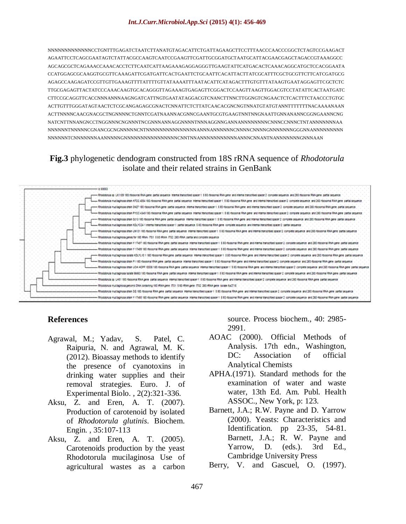NNNNNNNNNNNNNCCTGNTTTGAGATCTAATCTTANATGTAGACATTCTGATTAGAAGCTTCCTTTAACCCAACCCGGCTCTAGTCCGAAGACT AGAATTCCTCAGCGAATAGTCTATTACGCCAAGTCAATCCGAAGTTCGATTGCGGATGCTAATGCATTACGAACGAGCTAGACCGTAAAGGCC AGCAGCGCTCAGAAACCAAACACCTCTTCAATCATTAAGAAAGAGGAGGGTTGAAGTATTCATGACACTCAAACAGGCATGCTCCACGGAATA CCATGGAGCGCAAGGTGCGTTCAAAGATTCGATGATTCACTGAATTCTGCAATTCACATTACTTATCGCATTTCGCTGCGTTCTTCATCGATGCG AGAGCCAAGAGATCCGTTGTTGAAAGTTTTATTTTGTTATAAAATTTAATACATTCATAGACTTTGTGTTTATAAGTGAATAGGAGTTCGCTCTC TTGCGAGAGTTACTATCCCAAACAAGTGCACAGGGTTAGAAAGTGAGAGTTCGGACTCCAAGTTAAGTTGGACGTCCTATATTCACTAATGATC CTTCCGCAGGTTCACCNNNANNNAAGNGATCATTNGTGAATATAGGACGTCNANCTTNNCTTGGNGTCNGAACTCTCACTTTCTAACCCTGTGC ACTTGTTTGGGATAGTAACTCTCGCANGAGAGCGNACTCNNATTCTCTTATCAACACGNCNGTNNATGTATGTANNTTTTTTTNACAAAANAAN ACTTNNNNCAACGNACGCTNGNNNNCTGNNTCGATNAANNACGNNCGAANTGCGTGAAGTNNTNNGNAATTGNNANANNCGGNGAANNCNG NATCNTTNNANGNCCTNGGNNNCNGNNNTNCGNNNANNAGGNNNNTNNNAGGNNGANNANNNNNNNNCNNNCCNNNCTNTANNNNNNNAA NNNNNNTNNNNNCGNANCGCNGNNNNNCNTNNNNNNNNNNNNNNNANNNANNNNNNCNNNNCNNNNGNNNNNNNGGGNNANNNNNNNNN NNNNNNTCNNNNNNNAANNNNNGNNNNNNNNNNNNNNNNCNNTNNANNNNNNNNNNNANNNCNNANTNANNNNNNNGNNNAAN

# **Fig.3** phylogenetic dendogram constructed from 18S rRNA sequence of *Rhodotorula* isolate and their related strains in GenBank



### **References**

- Agrawal, M.; Yadav, S. Patel, C. Raipuria, N. and Agrawal, M. K. (2012). Bioassay methods to identify the presence of cyanotoxins in drinking water supplies and their removal strategies. Euro. J. of Experimental Biolo. , 2(2):321-336.
- Aksu, Z. and Eren, A. T. (2007). Production of carotenoid by isolated of *Rhodotorula glutinis*. Biochem. Engin. , 35:107-113
- Aksu, Z. and Eren, A. T. (2005). Carotenoids production by the yeast Rhodotorula mucilaginosa Use of agricultural wastes as a carbon

source. Process biochem., 40: 2985- 2991.

- AOAC (2000). Official Methods of Analysis. 17th edn., Washington, DC: Association of official Analytical Chemists
- APHA.(1971). Standard methods for the examination of water and waste water, 13th Ed. Am. Publ. Health ASSOC., New York, p: 123.
- Barnett, J.A.; R.W. Payne and D. Yarrow (2000). Yeasts: Characteristics and Identification. pp 23-35, 54-81. Barnett, J.A.; R. W. Payne and Yarrow, D. (eds.). 3rd Ed., Cambridge University Press

Berry, V. and Gascuel, O. (1997).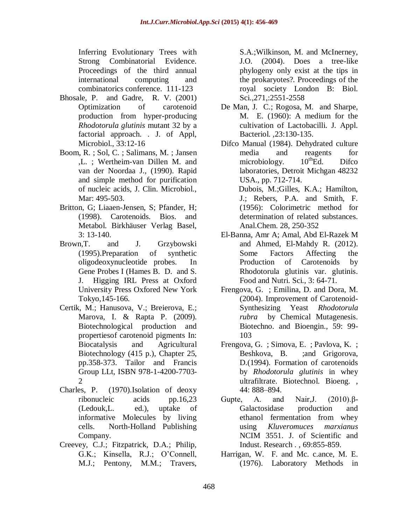Inferring Evolutionary Trees with Strong Combinatorial Evidence. Proceedings of the third annual international computing and combinatorics conference. 111-123

- Bhosale, P. and Gadre, R. V. (2001) Optimization of carotenoid production from hyper-producing *Rhodotorula glutinis* mutant 32 by a factorial approach. . J. of Appl, Microbiol., 33:12-16
- Boom, R. ; Sol, C. ; [Salimans, M.](http://www.ncbi.nlm.nih.gov/pubmed?term=Salimans%20MM%5BAuthor%5D&cauthor=true&cauthor_uid=1691208) ; [Jansen](http://www.ncbi.nlm.nih.gov/pubmed?term=Jansen%20CL%5BAuthor%5D&cauthor=true&cauthor_uid=1691208)  [,L.](http://www.ncbi.nlm.nih.gov/pubmed?term=Jansen%20CL%5BAuthor%5D&cauthor=true&cauthor_uid=1691208) ; [Wertheim-van Dillen M.](http://www.ncbi.nlm.nih.gov/pubmed?term=Wertheim-van%20Dillen%20PM%5BAuthor%5D&cauthor=true&cauthor_uid=1691208) and [van der Noordaa J.](http://www.ncbi.nlm.nih.gov/pubmed?term=van%20der%20Noordaa%20J%5BAuthor%5D&cauthor=true&cauthor_uid=1691208), (1990). Rapid and simple method for purification of nucleic acids, J. Clin. Microbiol., Mar: 495-503.
- Britton, G; Liaaen-Jensen, S; Pfander, H; (1998). Carotenoids. Bios. and Metabol. Birkhäuser Verlag Basel, 3: 13-140.
- Brown,T. and J. Grzybowski (1995).Preparation of synthetic oligodeoxynucleotide probes. In Gene Probes I (Hames B. D. and S. J. Higging IRL Press at Oxford University Press Oxfored New York Tokyo,145-166.
- Certik, M.; Hanusova, V.; Breierova, E.; Marova, I. & Rapta P. (2009). Biotechnological production and propertiesof carotenoid pigments In: Biocatalysis and Agricultural Biotechnology (415 p.), Chapter 25, pp.358-373. Tailor and Francis Group LLt, ISBN 978-1-4200-7703- 2
- Charles, P. (1970).Isolation of deoxy ribonucleic acids pp.16,23 (Ledouk,L. ed.), uptake of informative Molecules by living cells. North-Holland Publishing Company.
- Creevey, C.J.; Fitzpatrick, D.A.; Philip, G.K.; Kinsella, R.J.; O'Connell, M.J.; Pentony, M.M.; Travers,

S.A.;Wilkinson, M. and McInerney, J.O. (2004). Does a tree-like phylogeny only exist at the tips in the prokaryotes?. Proceedings of the royal society London B: Biol. Sci.,271,:2551-2558

- De Man, J. C.; Rogosa, M. and Sharpe, M. E. (1960): A medium for the cultivation of Lactobacilli. J. Appl. Bacteriol. ,23:130-135.
- Difco Manual (1984). Dehydrated culture media and reagents for microbiology.  $10^{th}$ Ed. Difco laboratories, Detroit Michgan 48232 USA., pp. 712-714.
	- Dubois, M.;Gilles, K.A.; Hamilton, J.; Rebers, P.A. and Smith, F. (1956): Colorimetric method for determination of related substances. Anal.Chem. 28, 250-352
- El-Banna, Amr A; Amal, Abd El-Razek M and Ahmed, El-Mahdy R. (2012). Some Factors Affecting the Production of Carotenoids by Rhodotorula glutinis var. glutinis. Food and Nutri. Sci., 3: 64-71.
- Frengova, G. ; Emilina, D. and Dora, M. (2004). Improvement of Carotenoid-Synthesizing Yeast *Rhodotorula rubra* by Chemical Mutagenesis. Biotechno. and Bioengin., 59: 99- 103
- Frengova, G. ; Simova, E. ; Pavlova, K. ; Beshkova, B. ;and Grigorova, D.(1994). Formation of carotenoids by *Rhodotorula glutinis* in whey ultrafiltrate. Biotechnol. Bioeng. , 44: 888–894.
- Gupte, A. and Nair,J. (2010).β-Galactosidase production and ethanol fermentation from whey using *Kluveromuces marxianus* NCIM 3551. J. of Scientific and Indust. Research . , 69:855-859.
- Harrigan, W. F. and Mc. c.ance, M. E. (1976). Laboratory Methods in